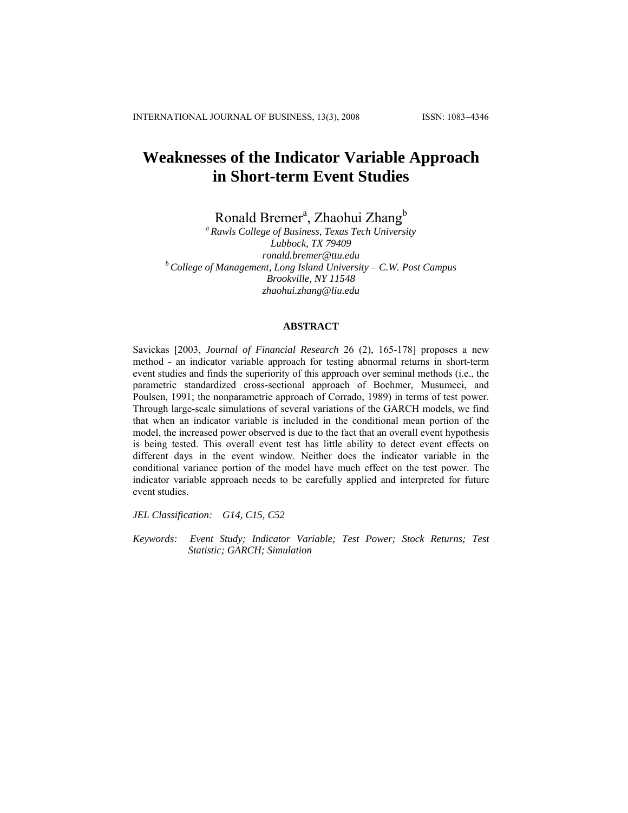# **Weaknesses of the Indicator Variable Approach in Short-term Event Studies**

Ronald Bremer<sup>a</sup>, Zhaohui Zhang<sup>b</sup>

*a Rawls College of Business, Texas Tech University Lubbock, TX 79409 ronald.bremer@ttu.edu b College of Management, Long Island University – C.W. Post Campus Brookville, NY 11548 zhaohui.zhang@liu.edu* 

#### **ABSTRACT**

Savickas [2003, *Journal of Financial Research* 26 (2), 165-178] proposes a new method - an indicator variable approach for testing abnormal returns in short-term event studies and finds the superiority of this approach over seminal methods (i.e., the parametric standardized cross-sectional approach of Boehmer, Musumeci, and Poulsen, 1991; the nonparametric approach of Corrado, 1989) in terms of test power. Through large-scale simulations of several variations of the GARCH models, we find that when an indicator variable is included in the conditional mean portion of the model, the increased power observed is due to the fact that an overall event hypothesis is being tested. This overall event test has little ability to detect event effects on different days in the event window. Neither does the indicator variable in the conditional variance portion of the model have much effect on the test power. The indicator variable approach needs to be carefully applied and interpreted for future event studies.

*JEL Classification: G14, C15, C52* 

*Keywords: Event Study; Indicator Variable; Test Power; Stock Returns; Test Statistic; GARCH; Simulation*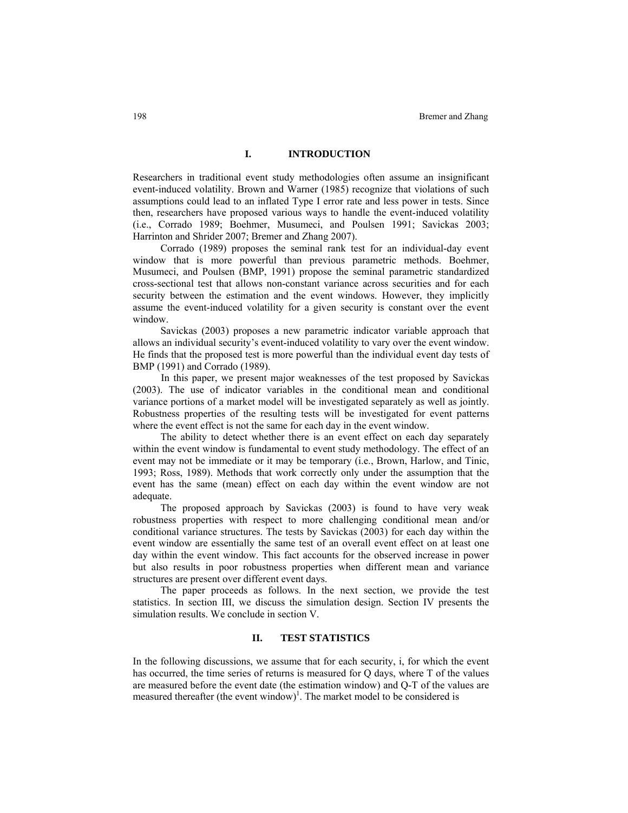### **I. INTRODUCTION**

Researchers in traditional event study methodologies often assume an insignificant event-induced volatility. Brown and Warner (1985) recognize that violations of such assumptions could lead to an inflated Type I error rate and less power in tests. Since then, researchers have proposed various ways to handle the event-induced volatility (i.e., Corrado 1989; Boehmer, Musumeci, and Poulsen 1991; Savickas 2003; Harrinton and Shrider 2007; Bremer and Zhang 2007).

Corrado (1989) proposes the seminal rank test for an individual-day event window that is more powerful than previous parametric methods. Boehmer, Musumeci, and Poulsen (BMP, 1991) propose the seminal parametric standardized cross-sectional test that allows non-constant variance across securities and for each security between the estimation and the event windows. However, they implicitly assume the event-induced volatility for a given security is constant over the event window.

Savickas (2003) proposes a new parametric indicator variable approach that allows an individual security's event-induced volatility to vary over the event window. He finds that the proposed test is more powerful than the individual event day tests of BMP (1991) and Corrado (1989).

In this paper, we present major weaknesses of the test proposed by Savickas (2003). The use of indicator variables in the conditional mean and conditional variance portions of a market model will be investigated separately as well as jointly. Robustness properties of the resulting tests will be investigated for event patterns where the event effect is not the same for each day in the event window.

The ability to detect whether there is an event effect on each day separately within the event window is fundamental to event study methodology. The effect of an event may not be immediate or it may be temporary (i.e., Brown, Harlow, and Tinic, 1993; Ross, 1989). Methods that work correctly only under the assumption that the event has the same (mean) effect on each day within the event window are not adequate.

The proposed approach by Savickas (2003) is found to have very weak robustness properties with respect to more challenging conditional mean and/or conditional variance structures. The tests by Savickas (2003) for each day within the event window are essentially the same test of an overall event effect on at least one day within the event window. This fact accounts for the observed increase in power but also results in poor robustness properties when different mean and variance structures are present over different event days.

The paper proceeds as follows. In the next section, we provide the test statistics. In section III, we discuss the simulation design. Section IV presents the simulation results. We conclude in section V.

# **II. TEST STATISTICS**

In the following discussions, we assume that for each security, i, for which the event has occurred, the time series of returns is measured for Q days, where T of the values are measured before the event date (the estimation window) and Q-T of the values are measured thereafter (the event window)<sup>1</sup>. The market model to be considered is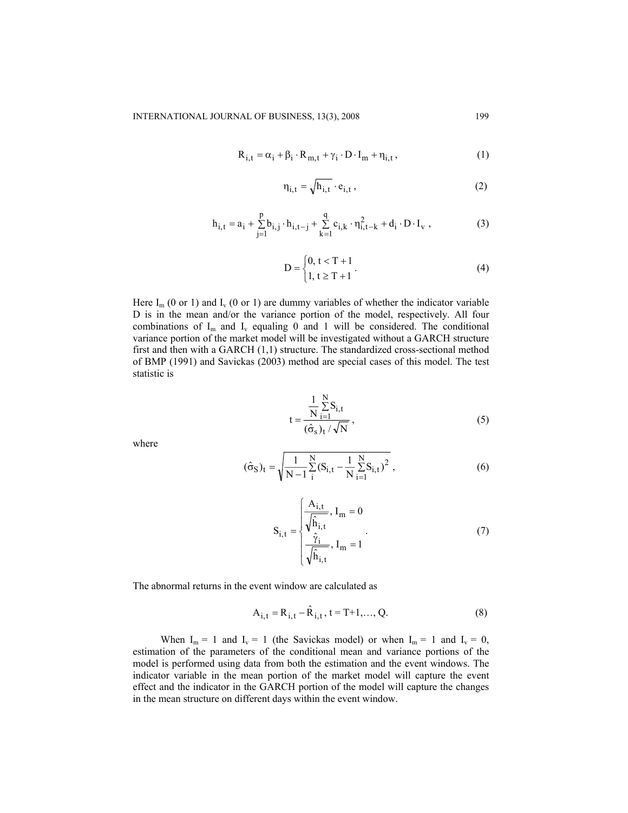$$
R_{i,t} = \alpha_i + \beta_i \cdot R_{m,t} + \gamma_i \cdot D \cdot I_m + \eta_{i,t},
$$
\n(1)

$$
\eta_{i,t} = \sqrt{h_{i,t}} \cdot e_{i,t},\qquad(2)
$$

$$
h_{i,t} = a_i + \sum_{j=1}^{p} b_{i,j} \cdot h_{i,t-j} + \sum_{k=1}^{q} c_{i,k} \cdot \eta_{i,t-k}^2 + d_i \cdot D \cdot I_v ,
$$
 (3)

$$
D = \begin{cases} 0, t < T + 1 \\ 1, t \ge T + 1 \end{cases} . \tag{4}
$$

Here  $I_m$  (0 or 1) and  $I_v$  (0 or 1) are dummy variables of whether the indicator variable D is in the mean and/or the variance portion of the model, respectively. All four combinations of  $I_m$  and  $I_v$  equaling 0 and 1 will be considered. The conditional variance portion of the market model will be investigated without a GARCH structure first and then with a GARCH (1,1) structure. The standardized cross-sectional method of BMP (1991) and Savickas (2003) method are special cases of this model. The test statistic is

$$
t = \frac{\frac{1}{N} \sum_{i=1}^{N} S_{i,t}}{(\hat{\sigma}_s)_t / \sqrt{N}},
$$
\n(5)

where

$$
(\hat{\sigma}_S)_t = \sqrt{\frac{1}{N-1} \sum_{i=1}^{N} (S_{i,t} - \frac{1}{N} \sum_{i=1}^{N} S_{i,t})^2},
$$
\n(6)

$$
S_{i,t} = \begin{cases} \frac{A_{i,t}}{\sqrt{\hat{h}_{i,t}}}, I_m = 0\\ \frac{\hat{\gamma}_i}{\sqrt{\hat{h}_{i,t}}}, I_m = 1 \end{cases}
$$
(7)

The abnormal returns in the event window are calculated as

$$
A_{i,t} = R_{i,t} - \hat{R}_{i,t}, t = T+1,..., Q.
$$
 (8)

When  $I_m = 1$  and  $I_v = 1$  (the Savickas model) or when  $I_m = 1$  and  $I_v = 0$ , estimation of the parameters of the conditional mean and variance portions of the model is performed using data from both the estimation and the event windows. The indicator variable in the mean portion of the market model will capture the event effect and the indicator in the GARCH portion of the model will capture the changes in the mean structure on different days within the event window.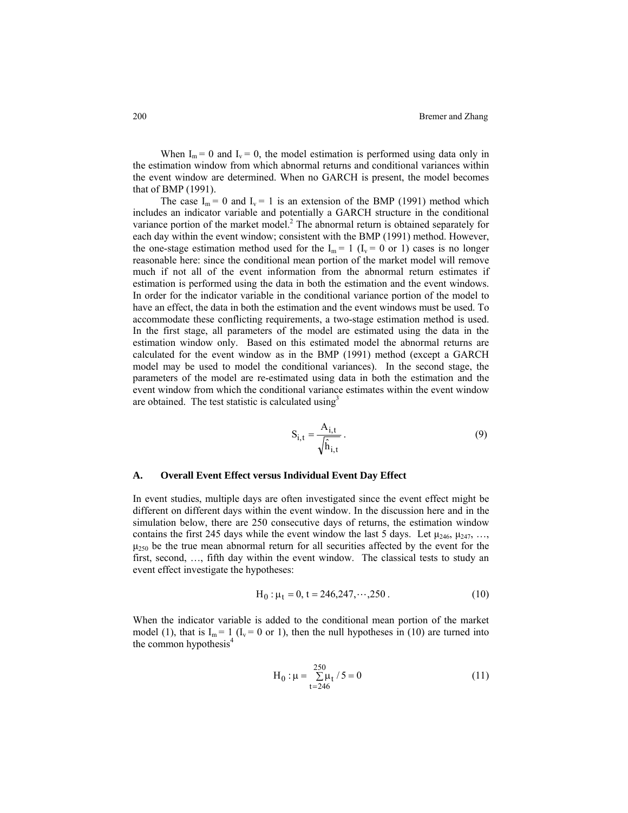When  $I_m = 0$  and  $I_v = 0$ , the model estimation is performed using data only in the estimation window from which abnormal returns and conditional variances within the event window are determined. When no GARCH is present, the model becomes that of BMP (1991).

The case  $I_m = 0$  and  $I_v = 1$  is an extension of the BMP (1991) method which includes an indicator variable and potentially a GARCH structure in the conditional variance portion of the market model.<sup>2</sup> The abnormal return is obtained separately for each day within the event window; consistent with the BMP (1991) method. However, the one-stage estimation method used for the  $I_m = 1$  ( $I_v = 0$  or 1) cases is no longer reasonable here: since the conditional mean portion of the market model will remove much if not all of the event information from the abnormal return estimates if estimation is performed using the data in both the estimation and the event windows. In order for the indicator variable in the conditional variance portion of the model to have an effect, the data in both the estimation and the event windows must be used. To accommodate these conflicting requirements, a two-stage estimation method is used. In the first stage, all parameters of the model are estimated using the data in the estimation window only. Based on this estimated model the abnormal returns are calculated for the event window as in the BMP (1991) method (except a GARCH model may be used to model the conditional variances). In the second stage, the parameters of the model are re-estimated using data in both the estimation and the event window from which the conditional variance estimates within the event window are obtained. The test statistic is calculated using $3$ 

$$
S_{i,t} = \frac{A_{i,t}}{\sqrt{\hat{h}_{i,t}}} \,. \tag{9}
$$

#### **A. Overall Event Effect versus Individual Event Day Effect**

In event studies, multiple days are often investigated since the event effect might be different on different days within the event window. In the discussion here and in the simulation below, there are 250 consecutive days of returns, the estimation window contains the first 245 days while the event window the last 5 days. Let  $\mu_{246}$ ,  $\mu_{247}$ , …,  $\mu_{250}$  be the true mean abnormal return for all securities affected by the event for the first, second, …, fifth day within the event window. The classical tests to study an event effect investigate the hypotheses:

$$
H_0: \mu_t = 0, t = 246, 247, \cdots, 250.
$$
 (10)

When the indicator variable is added to the conditional mean portion of the market model (1), that is  $I_m = 1$  ( $I_v = 0$  or 1), then the null hypotheses in (10) are turned into the common hypothesis<sup>4</sup>

$$
H_0: \mu = \sum_{t=246}^{250} \mu_t / 5 = 0
$$
 (11)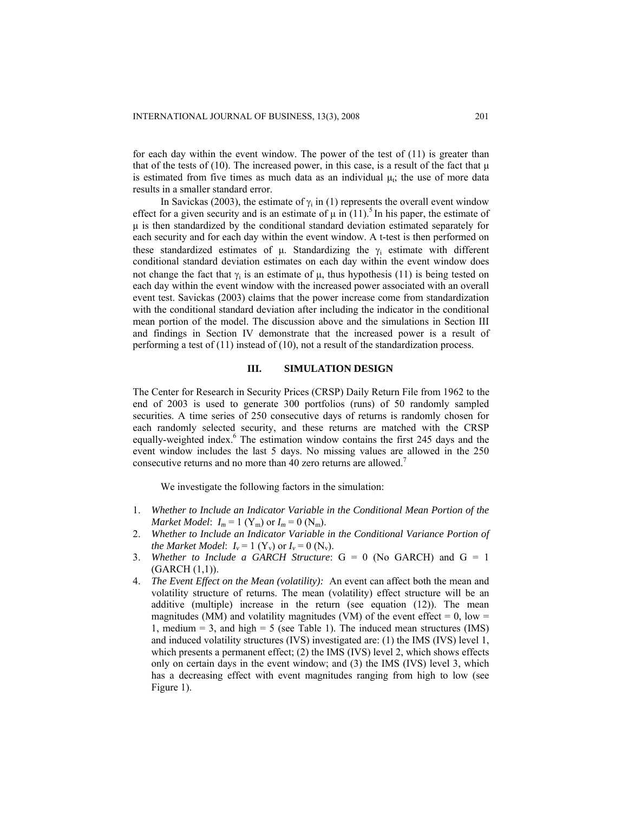for each day within the event window. The power of the test of (11) is greater than that of the tests of (10). The increased power, in this case, is a result of the fact that  $\mu$ is estimated from five times as much data as an individual  $\mu_i$ ; the use of more data results in a smaller standard error.

In Savickas (2003), the estimate of  $\gamma_i$  in (1) represents the overall event window effect for a given security and is an estimate of  $\mu$  in (11).<sup>5</sup> In his paper, the estimate of μ is then standardized by the conditional standard deviation estimated separately for each security and for each day within the event window. A t-test is then performed on these standardized estimates of  $\mu$ . Standardizing the  $\gamma_i$  estimate with different conditional standard deviation estimates on each day within the event window does not change the fact that  $γ<sub>i</sub>$  is an estimate of μ, thus hypothesis (11) is being tested on each day within the event window with the increased power associated with an overall event test. Savickas (2003) claims that the power increase come from standardization with the conditional standard deviation after including the indicator in the conditional mean portion of the model. The discussion above and the simulations in Section III and findings in Section IV demonstrate that the increased power is a result of performing a test of (11) instead of (10), not a result of the standardization process.

#### **III. SIMULATION DESIGN**

The Center for Research in Security Prices (CRSP) Daily Return File from 1962 to the end of 2003 is used to generate 300 portfolios (runs) of 50 randomly sampled securities. A time series of 250 consecutive days of returns is randomly chosen for each randomly selected security, and these returns are matched with the CRSP equally-weighted index.<sup>6</sup> The estimation window contains the first 245 days and the event window includes the last 5 days. No missing values are allowed in the 250 consecutive returns and no more than 40 zero returns are allowed.<sup>7</sup>

We investigate the following factors in the simulation:

- 1. *Whether to Include an Indicator Variable in the Conditional Mean Portion of the Market Model*:  $I_m = 1$  (Y<sub>m</sub>) or  $I_m = 0$  (N<sub>m</sub>).
- 2. *Whether to Include an Indicator Variable in the Conditional Variance Portion of the Market Model:*  $I_v = 1$  (Y<sub>v</sub>) or  $I_v = 0$  (N<sub>v</sub>).
- 3. *Whether to Include a GARCH Structure*: G = 0 (No GARCH) and G = 1 (GARCH (1,1)).
- 4. *The Event Effect on the Mean (volatility):* An event can affect both the mean and volatility structure of returns. The mean (volatility) effect structure will be an additive (multiple) increase in the return (see equation (12)). The mean magnitudes (MM) and volatility magnitudes (VM) of the event effect  $= 0$ , low  $=$ 1, medium  $= 3$ , and high  $= 5$  (see Table 1). The induced mean structures (IMS) and induced volatility structures (IVS) investigated are: (1) the IMS (IVS) level 1, which presents a permanent effect; (2) the IMS (IVS) level 2, which shows effects only on certain days in the event window; and (3) the IMS (IVS) level 3, which has a decreasing effect with event magnitudes ranging from high to low (see Figure 1).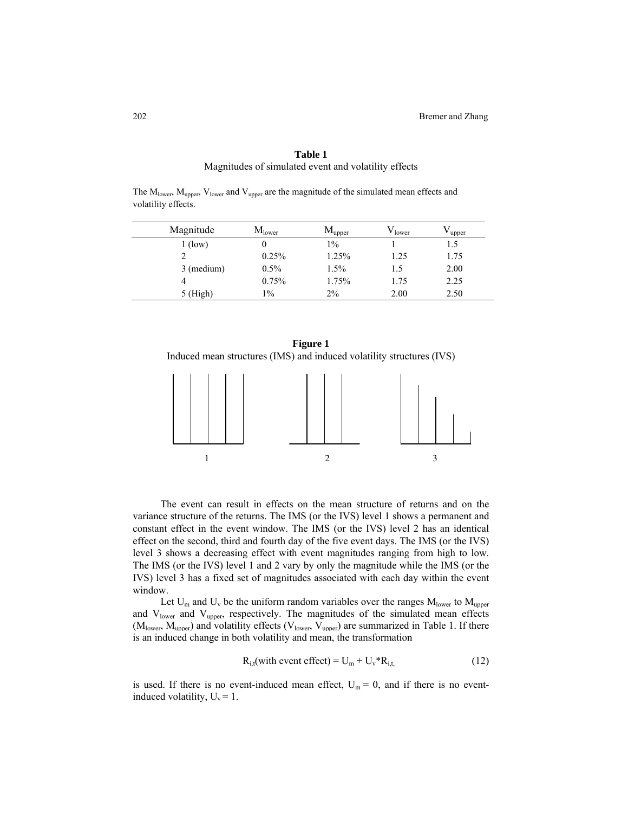| Magnitude  | M <sub>lower</sub> | $M_{\text{upper}}$ | $\rm V_{lower}$ | $V_{\text{upper}}$ |
|------------|--------------------|--------------------|-----------------|--------------------|
| $1$ (low)  |                    | $1\%$              |                 | 1.5                |
| 2          | 0.25%              | 1.25%              | 1.25            | 1.75               |
| 3 (medium) | $0.5\%$            | $1.5\%$            | 1.5             | 2.00               |
| 4          | 0.75%              | 1.75%              | 1.75            | 2.25               |
| $5$ (High) | $1\%$              | $2\%$              | 2.00            | 2.50               |

# **Table 1**  Magnitudes of simulated event and volatility effects

The  $M_{\text{lower}}$ ,  $M_{\text{linner}}$ ,  $V_{\text{lower}}$  and  $V_{\text{linner}}$  are the magnitude of the simulated mean effects and





The event can result in effects on the mean structure of returns and on the variance structure of the returns. The IMS (or the IVS) level 1 shows a permanent and constant effect in the event window. The IMS (or the IVS) level 2 has an identical effect on the second, third and fourth day of the five event days. The IMS (or the IVS) level 3 shows a decreasing effect with event magnitudes ranging from high to low. The IMS (or the IVS) level 1 and 2 vary by only the magnitude while the IMS (or the IVS) level 3 has a fixed set of magnitudes associated with each day within the event window.

Let  $U_m$  and  $U_v$  be the uniform random variables over the ranges  $M_{lower}$  to  $M_{upper}$ and  $V_{\text{lower}}$  and  $V_{\text{upper}}$ , respectively. The magnitudes of the simulated mean effects  $(M<sub>lower</sub>, M<sub>upper</sub>)$  and volatility effects ( $V<sub>lower</sub>, V<sub>upper</sub>$ ) are summarized in Table 1. If there is an induced change in both volatility and mean, the transformation

$$
R_{i,t}(\text{with event effect}) = U_m + U_v^* R_{i,t} \tag{12}
$$

is used. If there is no event-induced mean effect,  $U_m = 0$ , and if there is no eventinduced volatility,  $U_v = 1$ .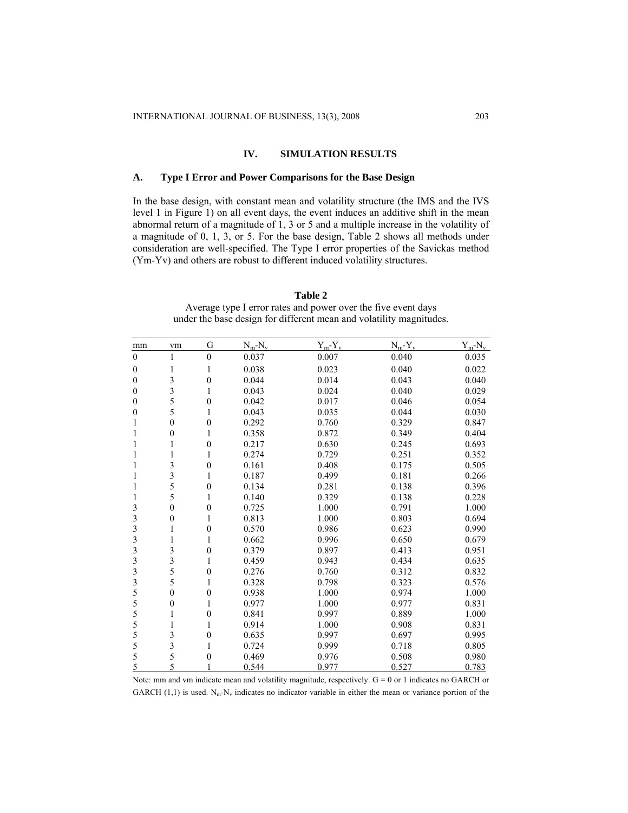# **IV. SIMULATION RESULTS**

## **A. Type I Error and Power Comparisons for the Base Design**

In the base design, with constant mean and volatility structure (the IMS and the IVS level 1 in Figure 1) on all event days, the event induces an additive shift in the mean abnormal return of a magnitude of 1, 3 or 5 and a multiple increase in the volatility of a magnitude of 0, 1, 3, or 5. For the base design, Table 2 shows all methods under consideration are well-specified. The Type I error properties of the Savickas method (Ym-Yv) and others are robust to different induced volatility structures.

# **Table 2**  Average type I error rates and power over the five event days

|  |  | under the base design for different mean and volatility magnitudes. |
|--|--|---------------------------------------------------------------------|
|  |  |                                                                     |

| mm                      | vm           | G                | $N_m-N_v$ | $Y_m - Y_v$ | $N_m-Y_v$ | $Y_m-N_v$ |
|-------------------------|--------------|------------------|-----------|-------------|-----------|-----------|
| $\mathbf{0}$            | 1            | $\boldsymbol{0}$ | 0.037     | 0.007       | 0.040     | 0.035     |
| 0                       | 1            | 1                | 0.038     | 0.023       | 0.040     | 0.022     |
| $\boldsymbol{0}$        | 3            | $\boldsymbol{0}$ | 0.044     | 0.014       | 0.043     | 0.040     |
| $\boldsymbol{0}$        | 3            | 1                | 0.043     | 0.024       | 0.040     | 0.029     |
| 0                       | 5            | $\boldsymbol{0}$ | 0.042     | 0.017       | 0.046     | 0.054     |
| 0                       | 5            | 1                | 0.043     | 0.035       | 0.044     | 0.030     |
| 1                       | $\mathbf{0}$ | $\boldsymbol{0}$ | 0.292     | 0.760       | 0.329     | 0.847     |
| 1                       | $\theta$     | 1                | 0.358     | 0.872       | 0.349     | 0.404     |
| 1                       | 1            | $\boldsymbol{0}$ | 0.217     | 0.630       | 0.245     | 0.693     |
| 1                       | 1            | 1                | 0.274     | 0.729       | 0.251     | 0.352     |
|                         | 3            | $\boldsymbol{0}$ | 0.161     | 0.408       | 0.175     | 0.505     |
| 1                       | 3            | 1                | 0.187     | 0.499       | 0.181     | 0.266     |
| 1                       | 5            | $\boldsymbol{0}$ | 0.134     | 0.281       | 0.138     | 0.396     |
| 1                       | 5            | 1                | 0.140     | 0.329       | 0.138     | 0.228     |
| 3                       | $\mathbf{0}$ | $\boldsymbol{0}$ | 0.725     | 1.000       | 0.791     | 1.000     |
| 3                       | $\theta$     | 1                | 0.813     | 1.000       | 0.803     | 0.694     |
| 3                       | 1            | $\boldsymbol{0}$ | 0.570     | 0.986       | 0.623     | 0.990     |
| 3                       | 1            | 1                | 0.662     | 0.996       | 0.650     | 0.679     |
| 3                       | 3            | $\boldsymbol{0}$ | 0.379     | 0.897       | 0.413     | 0.951     |
| 3                       | 3            | 1                | 0.459     | 0.943       | 0.434     | 0.635     |
| $\overline{\mathbf{3}}$ | 5            | $\boldsymbol{0}$ | 0.276     | 0.760       | 0.312     | 0.832     |
| 3                       | 5            | 1                | 0.328     | 0.798       | 0.323     | 0.576     |
| 5                       | $\theta$     | $\boldsymbol{0}$ | 0.938     | 1.000       | 0.974     | 1.000     |
| 5                       | $\mathbf{0}$ | 1                | 0.977     | 1.000       | 0.977     | 0.831     |
| 5                       | 1            | $\boldsymbol{0}$ | 0.841     | 0.997       | 0.889     | 1.000     |
| 5                       | 1            | 1                | 0.914     | 1.000       | 0.908     | 0.831     |
| 5                       | 3            | $\boldsymbol{0}$ | 0.635     | 0.997       | 0.697     | 0.995     |
| 5                       | 3            | 1                | 0.724     | 0.999       | 0.718     | 0.805     |
| 5                       | 5            | $\boldsymbol{0}$ | 0.469     | 0.976       | 0.508     | 0.980     |
| 5                       | 5            |                  | 0.544     | 0.977       | 0.527     | 0.783     |

Note: mm and vm indicate mean and volatility magnitude, respectively.  $G = 0$  or 1 indicates no GARCH or GARCH (1,1) is used.  $N_m-N_v$  indicates no indicator variable in either the mean or variance portion of the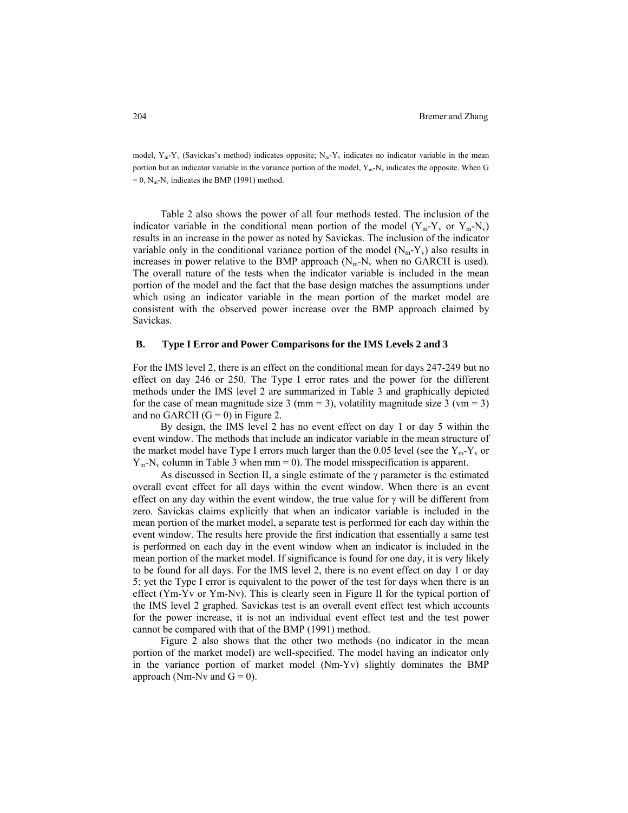model,  $Y_m - Y_v$  (Savickas's method) indicates opposite;  $N_m - Y_v$  indicates no indicator variable in the mean portion but an indicator variable in the variance portion of the model,  $Y_m - N_v$  indicates the opposite. When G  $= 0$ , N<sub>m</sub>-N<sub>v</sub> indicates the BMP (1991) method.

Table 2 also shows the power of all four methods tested. The inclusion of the indicator variable in the conditional mean portion of the model  $(Y_m - Y_v)$  or  $Y_m - N_v$ results in an increase in the power as noted by Savickas. The inclusion of the indicator variable only in the conditional variance portion of the model  $(N_m - Y_v)$  also results in increases in power relative to the BMP approach  $(N_m-N_v)$  when no GARCH is used). The overall nature of the tests when the indicator variable is included in the mean portion of the model and the fact that the base design matches the assumptions under which using an indicator variable in the mean portion of the market model are consistent with the observed power increase over the BMP approach claimed by Savickas.

#### **B. Type I Error and Power Comparisons for the IMS Levels 2 and 3**

For the IMS level 2, there is an effect on the conditional mean for days 247-249 but no effect on day 246 or 250. The Type I error rates and the power for the different methods under the IMS level 2 are summarized in Table 3 and graphically depicted for the case of mean magnitude size 3 (mm = 3), volatility magnitude size 3 (ym = 3) and no GARCH  $(G = 0)$  in Figure 2.

By design, the IMS level 2 has no event effect on day 1 or day 5 within the event window. The methods that include an indicator variable in the mean structure of the market model have Type I errors much larger than the 0.05 level (see the  $Y_m - Y_v$  or  $Y_m-N_v$  column in Table 3 when mm = 0). The model misspecification is apparent.

As discussed in Section II, a single estimate of the  $\gamma$  parameter is the estimated overall event effect for all days within the event window. When there is an event effect on any day within the event window, the true value for  $\gamma$  will be different from zero. Savickas claims explicitly that when an indicator variable is included in the mean portion of the market model, a separate test is performed for each day within the event window. The results here provide the first indication that essentially a same test is performed on each day in the event window when an indicator is included in the mean portion of the market model. If significance is found for one day, it is very likely to be found for all days. For the IMS level 2, there is no event effect on day 1 or day 5; yet the Type I error is equivalent to the power of the test for days when there is an effect (Ym-Yv or Ym-Nv). This is clearly seen in Figure II for the typical portion of the IMS level 2 graphed. Savickas test is an overall event effect test which accounts for the power increase, it is not an individual event effect test and the test power cannot be compared with that of the BMP (1991) method.

Figure 2 also shows that the other two methods (no indicator in the mean portion of the market model) are well-specified. The model having an indicator only in the variance portion of market model (Nm-Yv) slightly dominates the BMP approach (Nm-Nv and  $G = 0$ ).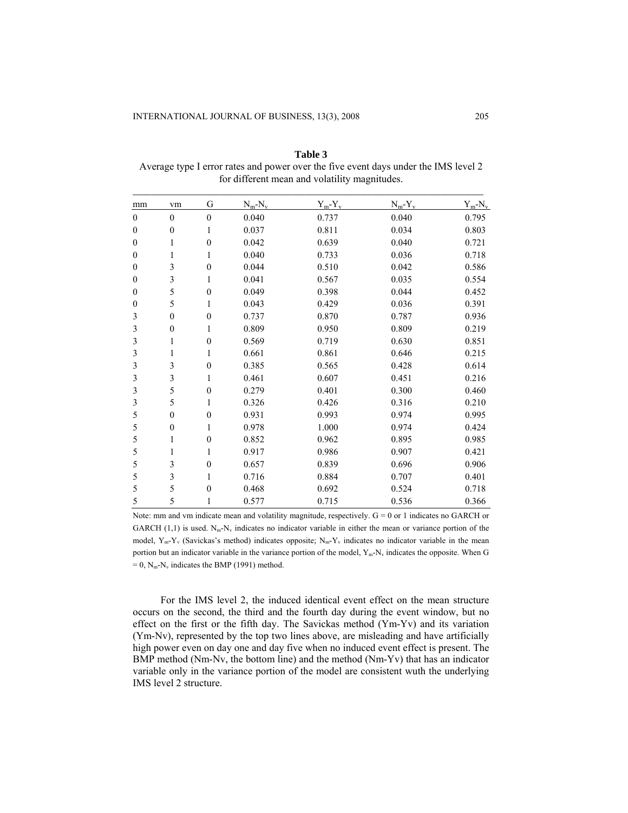| mm               | vm               | G                | $N_m-N_v$ | $Y_m - Y_v$ | $N_m-Y_v$ | $Y_m-N_v$ |  |
|------------------|------------------|------------------|-----------|-------------|-----------|-----------|--|
| $\boldsymbol{0}$ | $\mathbf{0}$     | $\boldsymbol{0}$ | 0.040     | 0.737       | 0.040     | 0.795     |  |
| $\boldsymbol{0}$ | $\boldsymbol{0}$ | 1                | 0.037     | 0.811       | 0.034     | 0.803     |  |
| $\boldsymbol{0}$ | 1                | $\boldsymbol{0}$ | 0.042     | 0.639       | 0.040     | 0.721     |  |
| $\boldsymbol{0}$ | 1                | 1                | 0.040     | 0.733       | 0.036     | 0.718     |  |
| $\boldsymbol{0}$ | 3                | $\boldsymbol{0}$ | 0.044     | 0.510       | 0.042     | 0.586     |  |
| $\boldsymbol{0}$ | $\mathfrak{Z}$   | 1                | 0.041     | 0.567       | 0.035     | 0.554     |  |
| $\theta$         | 5                | $\mathbf{0}$     | 0.049     | 0.398       | 0.044     | 0.452     |  |
| $\boldsymbol{0}$ | 5                | 1                | 0.043     | 0.429       | 0.036     | 0.391     |  |
| 3                | $\boldsymbol{0}$ | $\boldsymbol{0}$ | 0.737     | 0.870       | 0.787     | 0.936     |  |
| 3                | $\boldsymbol{0}$ | 1                | 0.809     | 0.950       | 0.809     | 0.219     |  |
| 3                | 1                | $\boldsymbol{0}$ | 0.569     | 0.719       | 0.630     | 0.851     |  |
| 3                | 1                | 1                | 0.661     | 0.861       | 0.646     | 0.215     |  |
| 3                | $\mathfrak{Z}$   | $\boldsymbol{0}$ | 0.385     | 0.565       | 0.428     | 0.614     |  |
| 3                | 3                | 1                | 0.461     | 0.607       | 0.451     | 0.216     |  |
| 3                | 5                | $\boldsymbol{0}$ | 0.279     | 0.401       | 0.300     | 0.460     |  |
| 3                | 5                | 1                | 0.326     | 0.426       | 0.316     | 0.210     |  |
| 5                | $\boldsymbol{0}$ | $\boldsymbol{0}$ | 0.931     | 0.993       | 0.974     | 0.995     |  |
| 5                | $\boldsymbol{0}$ | 1                | 0.978     | 1.000       | 0.974     | 0.424     |  |
| 5                | 1                | $\boldsymbol{0}$ | 0.852     | 0.962       | 0.895     | 0.985     |  |
| 5                | 1                | 1                | 0.917     | 0.986       | 0.907     | 0.421     |  |
| 5                | 3                | $\boldsymbol{0}$ | 0.657     | 0.839       | 0.696     | 0.906     |  |
| 5                | 3                | 1                | 0.716     | 0.884       | 0.707     | 0.401     |  |
| 5                | 5                | $\boldsymbol{0}$ | 0.468     | 0.692       | 0.524     | 0.718     |  |
| 5                | 5                | 1                | 0.577     | 0.715       | 0.536     | 0.366     |  |

**Table 3**  Average type I error rates and power over the five event days under the IMS level 2 for different mean and volatility magnitudes.

Note: mm and vm indicate mean and volatility magnitude, respectively.  $G = 0$  or 1 indicates no GARCH or GARCH (1,1) is used.  $N_m-N_v$  indicates no indicator variable in either the mean or variance portion of the model,  $Y_m - Y_v$  (Savickas's method) indicates opposite;  $N_m - Y_v$  indicates no indicator variable in the mean portion but an indicator variable in the variance portion of the model,  $Y_m - N_v$  indicates the opposite. When G  $= 0$ , N<sub>m</sub>-N<sub>v</sub> indicates the BMP (1991) method.

For the IMS level 2, the induced identical event effect on the mean structure occurs on the second, the third and the fourth day during the event window, but no effect on the first or the fifth day. The Savickas method (Ym-Yv) and its variation (Ym-Nv), represented by the top two lines above, are misleading and have artificially high power even on day one and day five when no induced event effect is present. The BMP method (Nm-Nv, the bottom line) and the method (Nm-Yv) that has an indicator variable only in the variance portion of the model are consistent wuth the underlying IMS level 2 structure.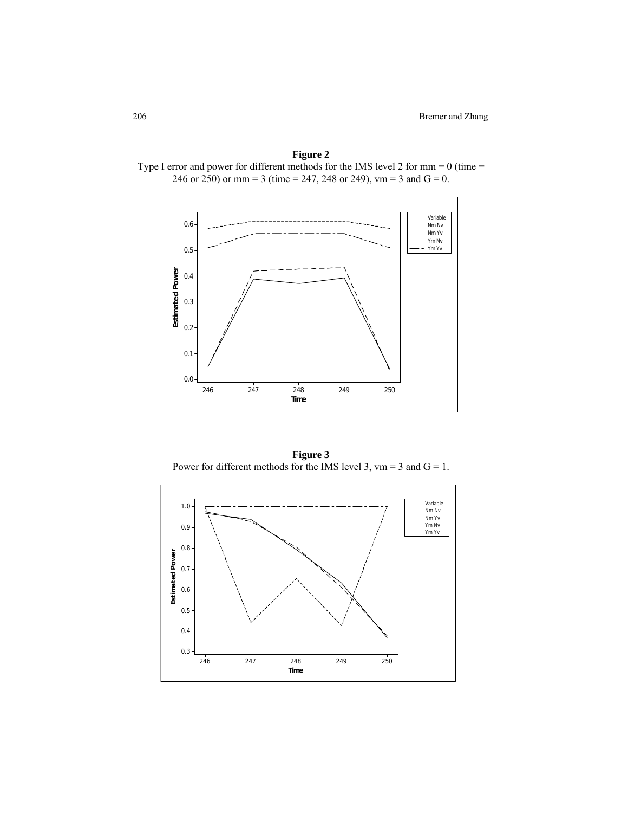

**Figure 2**  Type I error and power for different methods for the IMS level 2 for mm = 0 (time =

**Figure 3**  Power for different methods for the IMS level 3,  $vm = 3$  and  $G = 1$ .

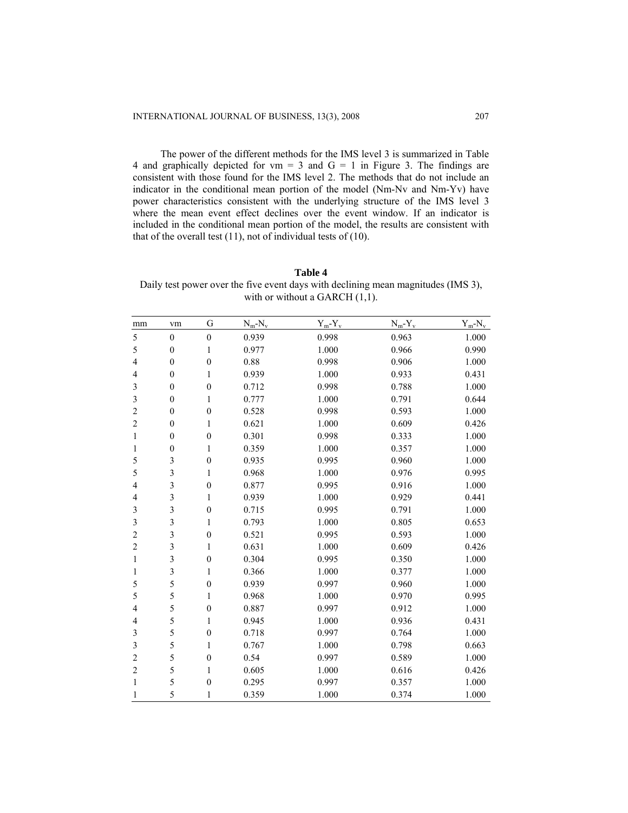The power of the different methods for the IMS level 3 is summarized in Table 4 and graphically depicted for  $vm = 3$  and  $G = 1$  in Figure 3. The findings are consistent with those found for the IMS level 2. The methods that do not include an indicator in the conditional mean portion of the model (Nm-Nv and Nm-Yv) have power characteristics consistent with the underlying structure of the IMS level 3 where the mean event effect declines over the event window. If an indicator is included in the conditional mean portion of the model, the results are consistent with that of the overall test (11), not of individual tests of (10).

#### **Table 4**

Daily test power over the five event days with declining mean magnitudes (IMS 3), with or without a GARCH  $(1,1)$ .

| mm             | vm                      | G                | $N_m-N_v$ | $Y_m - Y_v$ | $N_m - Y_v$ | $Y_m - N_v$ |
|----------------|-------------------------|------------------|-----------|-------------|-------------|-------------|
| 5              | $\overline{0}$          | $\overline{0}$   | 0.939     | 0.998       | 0.963       | 1.000       |
| 5              | $\boldsymbol{0}$        | 1                | 0.977     | 1.000       | 0.966       | 0.990       |
| 4              | $\boldsymbol{0}$        | $\boldsymbol{0}$ | 0.88      | 0.998       | 0.906       | 1.000       |
| 4              | $\boldsymbol{0}$        | 1                | 0.939     | 1.000       | 0.933       | 0.431       |
| 3              | $\boldsymbol{0}$        | $\boldsymbol{0}$ | 0.712     | 0.998       | 0.788       | 1.000       |
| 3              | $\boldsymbol{0}$        | 1                | 0.777     | 1.000       | 0.791       | 0.644       |
| $\overline{c}$ | $\boldsymbol{0}$        | $\boldsymbol{0}$ | 0.528     | 0.998       | 0.593       | 1.000       |
| $\overline{c}$ | $\boldsymbol{0}$        | 1                | 0.621     | 1.000       | 0.609       | 0.426       |
| 1              | $\boldsymbol{0}$        | $\boldsymbol{0}$ | 0.301     | 0.998       | 0.333       | 1.000       |
| 1              | $\boldsymbol{0}$        | 1                | 0.359     | 1.000       | 0.357       | 1.000       |
| 5              | 3                       | $\boldsymbol{0}$ | 0.935     | 0.995       | 0.960       | 1.000       |
| 5              | $\overline{\mathbf{3}}$ | 1                | 0.968     | 1.000       | 0.976       | 0.995       |
| 4              | $\overline{\mathbf{3}}$ | $\boldsymbol{0}$ | 0.877     | 0.995       | 0.916       | 1.000       |
| 4              | 3                       | 1                | 0.939     | 1.000       | 0.929       | 0.441       |
| 3              | $\overline{\mathbf{3}}$ | $\boldsymbol{0}$ | 0.715     | 0.995       | 0.791       | 1.000       |
| 3              | $\overline{\mathbf{3}}$ | 1                | 0.793     | 1.000       | 0.805       | 0.653       |
| $\overline{c}$ | 3                       | $\boldsymbol{0}$ | 0.521     | 0.995       | 0.593       | 1.000       |
| $\overline{c}$ | $\overline{\mathbf{3}}$ | 1                | 0.631     | 1.000       | 0.609       | 0.426       |
| 1              | 3                       | $\boldsymbol{0}$ | 0.304     | 0.995       | 0.350       | 1.000       |
| 1              | $\mathfrak{Z}$          | 1                | 0.366     | 1.000       | 0.377       | 1.000       |
| 5              | 5                       | $\boldsymbol{0}$ | 0.939     | 0.997       | 0.960       | 1.000       |
| 5              | 5                       | 1                | 0.968     | 1.000       | 0.970       | 0.995       |
| $\overline{4}$ | 5                       | $\boldsymbol{0}$ | 0.887     | 0.997       | 0.912       | 1.000       |
| 4              | 5                       | 1                | 0.945     | 1.000       | 0.936       | 0.431       |
| $\mathfrak{Z}$ | 5                       | $\boldsymbol{0}$ | 0.718     | 0.997       | 0.764       | 1.000       |
| 3              | 5                       | 1                | 0.767     | 1.000       | 0.798       | 0.663       |
| $\overline{c}$ | 5                       | $\boldsymbol{0}$ | 0.54      | 0.997       | 0.589       | 1.000       |
| $\overline{c}$ | 5                       | 1                | 0.605     | 1.000       | 0.616       | 0.426       |
| 1              | 5                       | $\mathbf{0}$     | 0.295     | 0.997       | 0.357       | 1.000       |
| 1              | 5                       | 1                | 0.359     | 1.000       | 0.374       | 1.000       |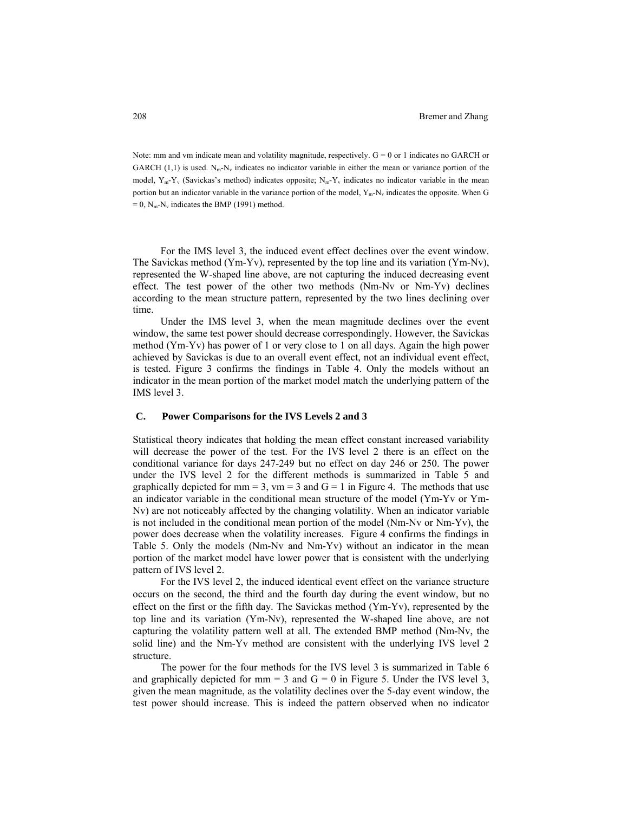Note: mm and vm indicate mean and volatility magnitude, respectively.  $G = 0$  or 1 indicates no GARCH or GARCH (1,1) is used.  $N_m-N_v$  indicates no indicator variable in either the mean or variance portion of the model,  $Y_m - Y_v$  (Savickas's method) indicates opposite;  $N_m - Y_v$  indicates no indicator variable in the mean portion but an indicator variable in the variance portion of the model,  $Y_m - N_v$  indicates the opposite. When G  $= 0$ , N<sub>m</sub>-N<sub>v</sub> indicates the BMP (1991) method.

For the IMS level 3, the induced event effect declines over the event window. The Savickas method (Ym-Yv), represented by the top line and its variation (Ym-Nv), represented the W-shaped line above, are not capturing the induced decreasing event effect. The test power of the other two methods (Nm-Nv or Nm-Yv) declines according to the mean structure pattern, represented by the two lines declining over time.

Under the IMS level 3, when the mean magnitude declines over the event window, the same test power should decrease correspondingly. However, the Savickas method (Ym-Yv) has power of 1 or very close to 1 on all days. Again the high power achieved by Savickas is due to an overall event effect, not an individual event effect, is tested. Figure 3 confirms the findings in Table 4. Only the models without an indicator in the mean portion of the market model match the underlying pattern of the IMS level 3.

#### **C. Power Comparisons for the IVS Levels 2 and 3**

Statistical theory indicates that holding the mean effect constant increased variability will decrease the power of the test. For the IVS level 2 there is an effect on the conditional variance for days 247-249 but no effect on day 246 or 250. The power under the IVS level 2 for the different methods is summarized in Table 5 and graphically depicted for mm = 3,  $vm = 3$  and  $G = 1$  in Figure 4. The methods that use an indicator variable in the conditional mean structure of the model (Ym-Yv or Ym-Nv) are not noticeably affected by the changing volatility. When an indicator variable is not included in the conditional mean portion of the model (Nm-Nv or Nm-Yv), the power does decrease when the volatility increases. Figure 4 confirms the findings in Table 5. Only the models (Nm-Nv and Nm-Yv) without an indicator in the mean portion of the market model have lower power that is consistent with the underlying pattern of IVS level 2.

For the IVS level 2, the induced identical event effect on the variance structure occurs on the second, the third and the fourth day during the event window, but no effect on the first or the fifth day. The Savickas method (Ym-Yv), represented by the top line and its variation (Ym-Nv), represented the W-shaped line above, are not capturing the volatility pattern well at all. The extended BMP method (Nm-Nv, the solid line) and the Nm-Yv method are consistent with the underlying IVS level 2 structure.

The power for the four methods for the IVS level 3 is summarized in Table 6 and graphically depicted for mm = 3 and  $G = 0$  in Figure 5. Under the IVS level 3, given the mean magnitude, as the volatility declines over the 5-day event window, the test power should increase. This is indeed the pattern observed when no indicator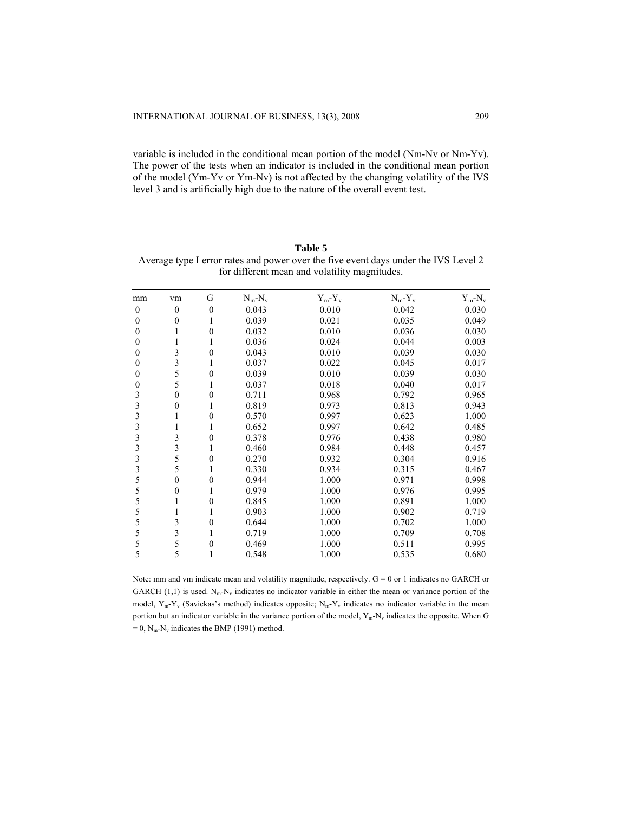variable is included in the conditional mean portion of the model (Nm-Nv or Nm-Yv). The power of the tests when an indicator is included in the conditional mean portion of the model (Ym-Yv or Ym-Nv) is not affected by the changing volatility of the IVS level 3 and is artificially high due to the nature of the overall event test.

| Table 5                                                                             |
|-------------------------------------------------------------------------------------|
| Average type I error rates and power over the five event days under the IVS Level 2 |
| for different mean and volatility magnitudes.                                       |

| mm               | vm               | G                | $N_m-N_v$ | $Y_m - Y_v$ | $N_m - Y_v$ | $Y_m-N_v$ |
|------------------|------------------|------------------|-----------|-------------|-------------|-----------|
| $\boldsymbol{0}$ | $\mathbf{0}$     | $\boldsymbol{0}$ | 0.043     | 0.010       | 0.042       | 0.030     |
| $\theta$         | 0                |                  | 0.039     | 0.021       | 0.035       | 0.049     |
| 0                |                  | $\boldsymbol{0}$ | 0.032     | 0.010       | 0.036       | 0.030     |
| $\theta$         |                  |                  | 0.036     | 0.024       | 0.044       | 0.003     |
| $\theta$         | 3                | $\mathbf{0}$     | 0.043     | 0.010       | 0.039       | 0.030     |
| $\theta$         | 3                |                  | 0.037     | 0.022       | 0.045       | 0.017     |
| $\theta$         | 5                | $\theta$         | 0.039     | 0.010       | 0.039       | 0.030     |
| 0                | 5                |                  | 0.037     | 0.018       | 0.040       | 0.017     |
| 3                | $\boldsymbol{0}$ | $\theta$         | 0.711     | 0.968       | 0.792       | 0.965     |
| 3                | 0                |                  | 0.819     | 0.973       | 0.813       | 0.943     |
| 3                |                  | 0                | 0.570     | 0.997       | 0.623       | 1.000     |
| 3                |                  |                  | 0.652     | 0.997       | 0.642       | 0.485     |
| 3                | 3                | $\boldsymbol{0}$ | 0.378     | 0.976       | 0.438       | 0.980     |
| 3                | 3                |                  | 0.460     | 0.984       | 0.448       | 0.457     |
| 3                | 5                | $\theta$         | 0.270     | 0.932       | 0.304       | 0.916     |
| 3                | 5                |                  | 0.330     | 0.934       | 0.315       | 0.467     |
| 5                | 0                | $\boldsymbol{0}$ | 0.944     | 1.000       | 0.971       | 0.998     |
| 5                | 0                |                  | 0.979     | 1.000       | 0.976       | 0.995     |
| 5                |                  | 0                | 0.845     | 1.000       | 0.891       | 1.000     |
| 5                |                  |                  | 0.903     | 1.000       | 0.902       | 0.719     |
| 5                | 3                | $\mathbf{0}$     | 0.644     | 1.000       | 0.702       | 1.000     |
| 5                | 3                |                  | 0.719     | 1.000       | 0.709       | 0.708     |
| 5                | 5                | 0                | 0.469     | 1.000       | 0.511       | 0.995     |
| 5                | 5                |                  | 0.548     | 1.000       | 0.535       | 0.680     |

Note: mm and vm indicate mean and volatility magnitude, respectively.  $G = 0$  or 1 indicates no GARCH or GARCH (1,1) is used.  $N_m-N_v$  indicates no indicator variable in either the mean or variance portion of the model,  $Y_m - Y_v$  (Savickas's method) indicates opposite;  $N_m - Y_v$  indicates no indicator variable in the mean portion but an indicator variable in the variance portion of the model,  $Y_m$ -N<sub>v</sub> indicates the opposite. When G  $= 0$ , N<sub>m</sub>-N<sub>v</sub> indicates the BMP (1991) method.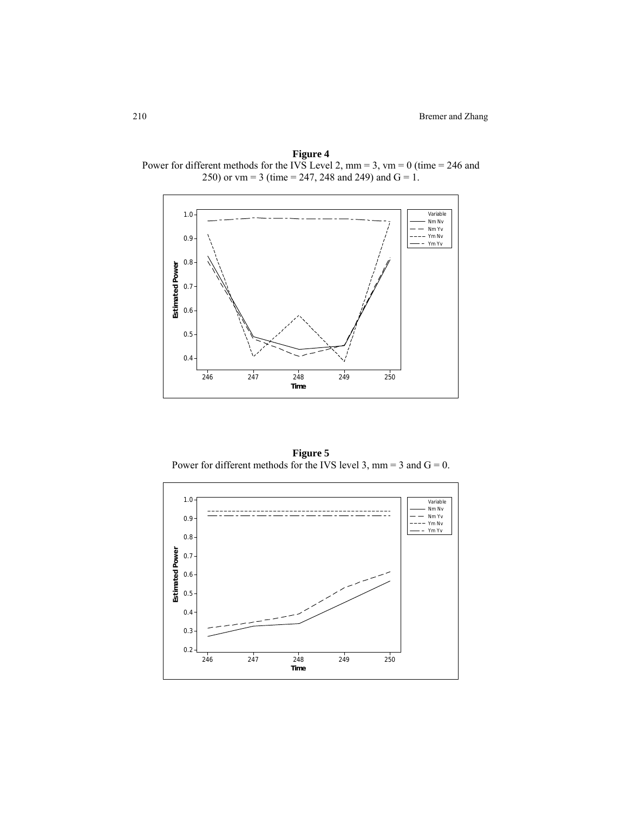**Figure 4**  Power for different methods for the IVS Level 2, mm = 3, vm = 0 (time = 246 and 250) or vm = 3 (time = 247, 248 and 249) and  $G = 1$ .



**Figure 5**  Power for different methods for the IVS level 3, mm = 3 and  $G = 0$ .

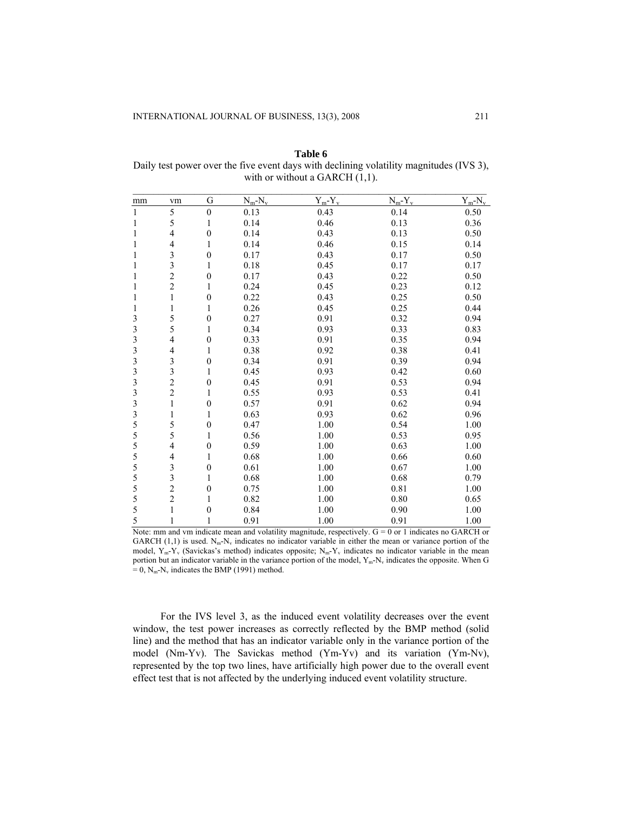| mm                      | vm                       | G                | $N_m-N_v$ | $Y_m - Y_v$ | $N_m-Y_v$ | $Y_m - N_v$ |
|-------------------------|--------------------------|------------------|-----------|-------------|-----------|-------------|
| $\mathbf{1}$            | 5                        | $\boldsymbol{0}$ | 0.13      | 0.43        | 0.14      | 0.50        |
| 1                       | 5                        | 1                | 0.14      | 0.46        | 0.13      | 0.36        |
| 1                       | 4                        | $\boldsymbol{0}$ | 0.14      | 0.43        | 0.13      | 0.50        |
| 1                       | $\overline{4}$           | 1                | 0.14      | 0.46        | 0.15      | 0.14        |
| $\mathbf{1}$            |                          | $\boldsymbol{0}$ | 0.17      | 0.43        | 0.17      | 0.50        |
| $\mathbf{1}$            | $\frac{3}{3}$            | $\mathbf{1}$     | 0.18      | 0.45        | 0.17      | 0.17        |
| 1                       |                          | $\boldsymbol{0}$ | 0.17      | 0.43        | 0.22      | 0.50        |
| 1                       | $\frac{2}{2}$            | 1                | 0.24      | 0.45        | 0.23      | 0.12        |
| 1                       | $\mathbf{1}$             | $\boldsymbol{0}$ | 0.22      | 0.43        | 0.25      | 0.50        |
| 1                       | $\mathbf{1}$             | 1                | 0.26      | 0.45        | 0.25      | 0.44        |
| 3                       | 5                        | $\boldsymbol{0}$ | 0.27      | 0.91        | 0.32      | 0.94        |
| $\mathfrak{Z}$          | 5                        | 1                | 0.34      | 0.93        | 0.33      | 0.83        |
| $\overline{\mathbf{3}}$ | 4                        | $\boldsymbol{0}$ | 0.33      | 0.91        | 0.35      | 0.94        |
| 3                       | $\overline{\mathcal{L}}$ | 1                | 0.38      | 0.92        | 0.38      | 0.41        |
| $\mathfrak{Z}$          | 3                        | $\boldsymbol{0}$ | 0.34      | 0.91        | 0.39      | 0.94        |
| $\mathfrak{Z}$          | $\overline{\mathbf{3}}$  | 1                | 0.45      | 0.93        | 0.42      | 0.60        |
| $\overline{\mathbf{3}}$ |                          | $\boldsymbol{0}$ | 0.45      | 0.91        | 0.53      | 0.94        |
| 3                       | $\frac{2}{2}$            | $\mathbf{1}$     | 0.55      | 0.93        | 0.53      | 0.41        |
| 3                       | $\,1$                    | $\boldsymbol{0}$ | 0.57      | 0.91        | 0.62      | 0.94        |
| $\overline{\mathbf{3}}$ | $\mathbf{1}$             | 1                | 0.63      | 0.93        | 0.62      | 0.96        |
| 5                       | 5                        | $\boldsymbol{0}$ | 0.47      | 1.00        | 0.54      | 1.00        |
| 5                       | 5                        | 1                | 0.56      | 1.00        | 0.53      | 0.95        |
| 5                       | $\overline{\mathcal{L}}$ | $\boldsymbol{0}$ | 0.59      | 1.00        | 0.63      | 1.00        |
| 5                       | $\overline{4}$           | 1                | 0.68      | 1.00        | 0.66      | 0.60        |
| 5                       | 3                        | $\boldsymbol{0}$ | 0.61      | 1.00        | 0.67      | 1.00        |
| 5                       | $\overline{\mathbf{3}}$  | 1                | 0.68      | 1.00        | 0.68      | 0.79        |
| 5                       | $\overline{c}$           | $\boldsymbol{0}$ | 0.75      | 1.00        | 0.81      | 1.00        |
| 5                       | $\overline{\mathbf{c}}$  | 1                | 0.82      | 1.00        | $0.80\,$  | 0.65        |
| 5                       | $\mathbf{1}$             | $\boldsymbol{0}$ | 0.84      | 1.00        | 0.90      | 1.00        |
| 5                       | 1                        | 1                | 0.91      | 1.00        | 0.91      | 1.00        |

**Table 6**  Daily test power over the five event days with declining volatility magnitudes (IVS 3), with or without a GARCH  $(1,1)$ .

Note: mm and vm indicate mean and volatility magnitude, respectively.  $G = 0$  or 1 indicates no GARCH or GARCH  $(1,1)$  is used. N<sub>m</sub>-N<sub>v</sub> indicates no indicator variable in either the mean or variance portion of the model,  $Y_m - Y_v$  (Savickas's method) indicates opposite;  $N_m - Y_v$  indicates no indicator variable in the mean portion but an indicator variable in the variance portion of the model,  $Y_m-N_v$  indicates the opposite. When G  $= 0$ , N<sub>m</sub>-N<sub>v</sub> indicates the BMP (1991) method.

For the IVS level 3, as the induced event volatility decreases over the event window, the test power increases as correctly reflected by the BMP method (solid line) and the method that has an indicator variable only in the variance portion of the model (Nm-Yv). The Savickas method (Ym-Yv) and its variation (Ym-Nv), represented by the top two lines, have artificially high power due to the overall event effect test that is not affected by the underlying induced event volatility structure.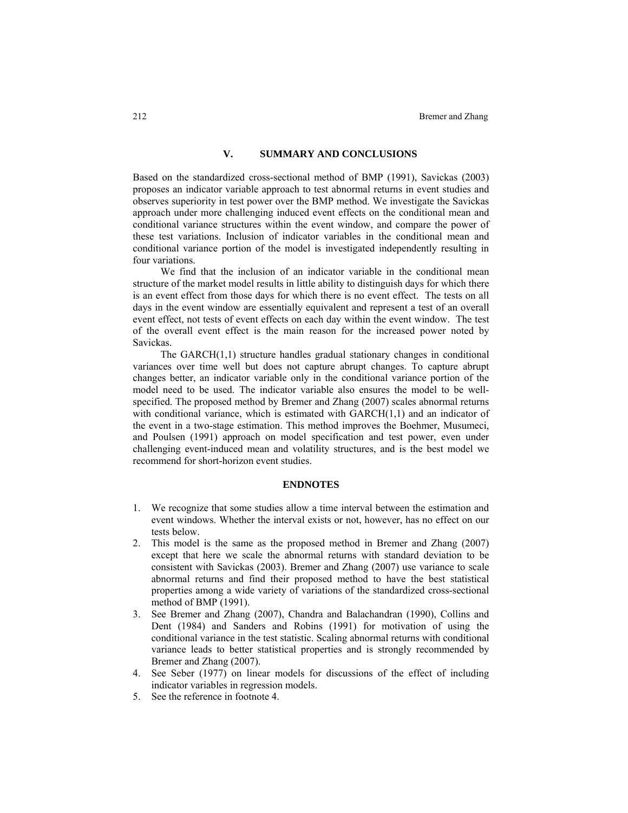# **V. SUMMARY AND CONCLUSIONS**

Based on the standardized cross-sectional method of BMP (1991), Savickas (2003) proposes an indicator variable approach to test abnormal returns in event studies and observes superiority in test power over the BMP method. We investigate the Savickas approach under more challenging induced event effects on the conditional mean and conditional variance structures within the event window, and compare the power of these test variations. Inclusion of indicator variables in the conditional mean and conditional variance portion of the model is investigated independently resulting in four variations.

We find that the inclusion of an indicator variable in the conditional mean structure of the market model results in little ability to distinguish days for which there is an event effect from those days for which there is no event effect. The tests on all days in the event window are essentially equivalent and represent a test of an overall event effect, not tests of event effects on each day within the event window. The test of the overall event effect is the main reason for the increased power noted by Savickas.

The GARCH(1,1) structure handles gradual stationary changes in conditional variances over time well but does not capture abrupt changes. To capture abrupt changes better, an indicator variable only in the conditional variance portion of the model need to be used. The indicator variable also ensures the model to be wellspecified. The proposed method by Bremer and Zhang (2007) scales abnormal returns with conditional variance, which is estimated with GARCH(1,1) and an indicator of the event in a two-stage estimation. This method improves the Boehmer, Musumeci, and Poulsen (1991) approach on model specification and test power, even under challenging event-induced mean and volatility structures, and is the best model we recommend for short-horizon event studies.

#### **ENDNOTES**

- 1. We recognize that some studies allow a time interval between the estimation and event windows. Whether the interval exists or not, however, has no effect on our tests below.
- 2. This model is the same as the proposed method in Bremer and Zhang (2007) except that here we scale the abnormal returns with standard deviation to be consistent with Savickas (2003). Bremer and Zhang (2007) use variance to scale abnormal returns and find their proposed method to have the best statistical properties among a wide variety of variations of the standardized cross-sectional method of BMP (1991).
- 3. See Bremer and Zhang (2007), Chandra and Balachandran (1990), Collins and Dent (1984) and Sanders and Robins (1991) for motivation of using the conditional variance in the test statistic. Scaling abnormal returns with conditional variance leads to better statistical properties and is strongly recommended by Bremer and Zhang (2007).
- 4. See Seber (1977) on linear models for discussions of the effect of including indicator variables in regression models.
- 5. See the reference in footnote 4.